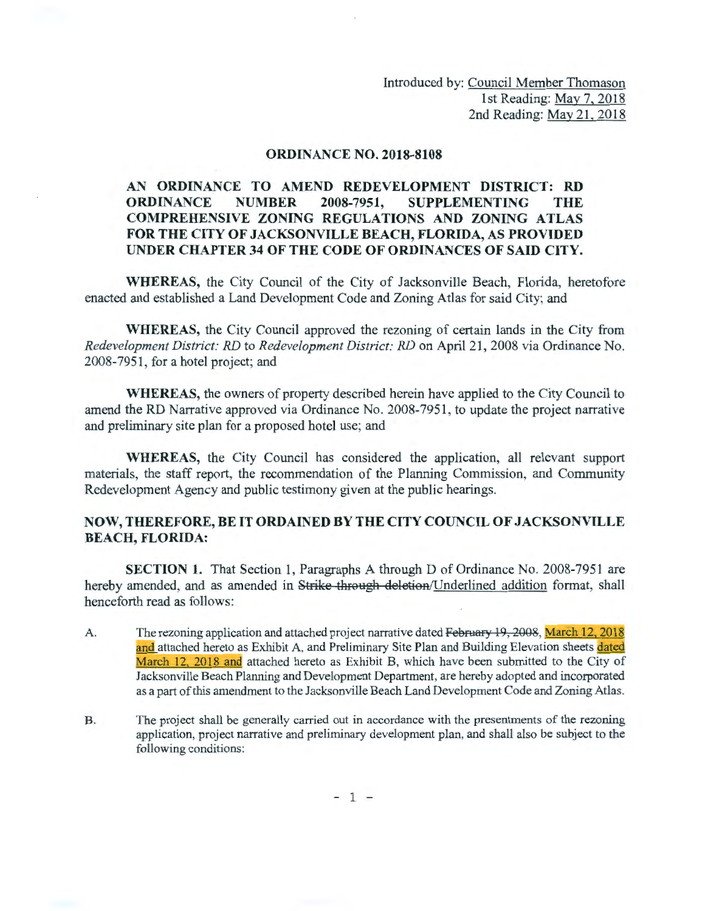Introduced by: Council Member Thomason 1st Reading: May 7, 2018 2nd Reading: May 21. 2018

## ORDINANCE NO. 2018-8108

## AN ORDINANCE TO AMEND REDEVELOPMENT DISTRICT: RD ORDINANCE NUMBER 2008-7951, SUPPLEMENTING THE COMPREHENSIVE ZONING REGULATIONS AND ZONING ATLAS FOR THE CITY OF JACKSONVILLE BEACH, FLORIDA, AS PROVIDED UNDER CHAPTER 34 OF THE CODE OF ORDINANCES OF SAID CITY.

WHEREAS, the City Council of the City of Jacksonville Beach, Florida, heretofore enacted and established a Land Development Code and Zoning Atlas for said City; and

WHEREAS, the City Council approved the rezoning of certain lands in the City from *Redevelopment District: RD* to *Redevelopment District: RD* on April 21 , 2008 via Ordinance No. 2008-7951, for a hotel project; and

WHEREAS, the owners of property described herein have applied to the City Council to amend the RD Narrative approved via Ordinance No. 2008-7951, to update the project narrative and preliminary site plan for a proposed hotel use; and

WHEREAS, the City Council has considered the application, all relevant support materials, the staff report, the recommendation of the Planning Commission, and Community Redevelopment Agency and public testimony given at the public hearings.

## NOW, THEREFORE, BE IT ORDAINED BY THE CITY COUNCIL OF JACKSONVILLE BEACH, FLORIDA:

SECTION 1. That Section 1, Paragraphs A through D of Ordinance No. 2008-7951 are hereby amended, and as amended in Strike through deletion/Underlined addition format, shall henceforth read as follows:

- A. The rezoning application and attached project narrative dated February 19, 2008, March 12, 2018 and attached hereto as Exhibit A, and Preliminary Site Plan and Building Elevation sheets dated March 12, 2018 and attached hereto as Exhibit B, which have been submitted to the City of Jacksonville Beach Planning and Development Department, are hereby adopted and incorporated as a part of this amendment to the Jacksonville Beach Land Development Code and Zoning Atlas.
- B. The project shall be generally carried out in accordance with the presentments of the rezoning application, project narrative and preliminary development plan, and shall also be subject to the following conditions:

 $-1 -$